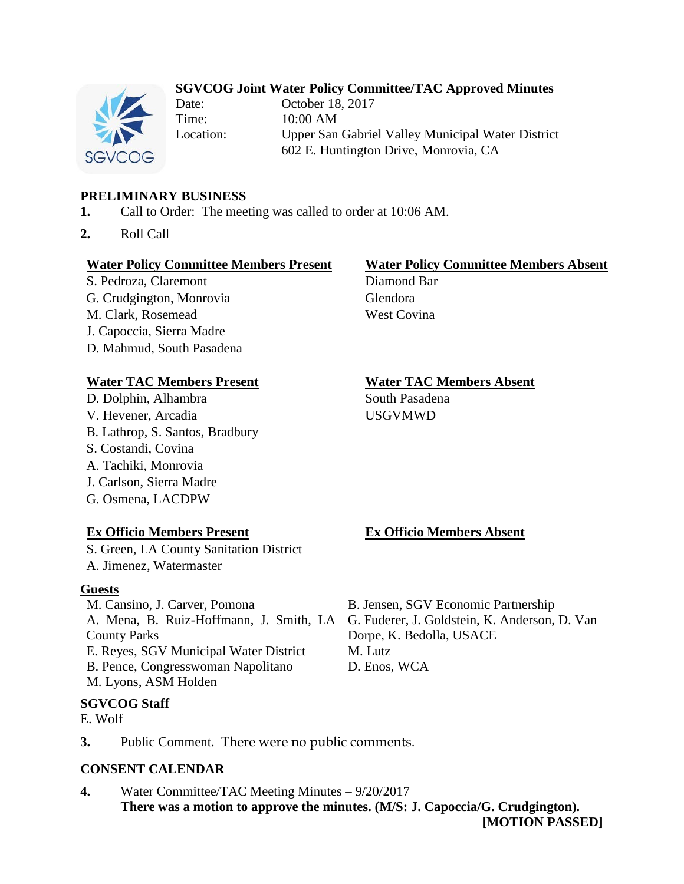## **SGVCOG Joint Water Policy Committee/TAC Approved Minutes**



Date: October 18, 2017 Time: 10:00 AM Location: Upper San Gabriel Valley Municipal Water District 602 E. Huntington Drive, Monrovia, CA

## **PRELIMINARY BUSINESS**

- **1.** Call to Order: The meeting was called to order at 10:06 AM.
- **2.** Roll Call

### **Water Policy Committee Members Present Water Policy Committee Members Absent**

S. Pedroza, Claremont Diamond Bar G. Crudgington, Monrovia Glendora M. Clark, Rosemead West Covina J. Capoccia, Sierra Madre D. Mahmud, South Pasadena

### **Water TAC Members Present Water TAC Members Absent**

D. Dolphin, Alhambra South Pasadena V. Hevener, Arcadia USGVMWD B. Lathrop, S. Santos, Bradbury S. Costandi, Covina A. Tachiki, Monrovia J. Carlson, Sierra Madre

# G. Osmena, LACDPW

### **Ex Officio Members Present Ex Officio Members Absent**

S. Green, LA County Sanitation District A. Jimenez, Watermaster

### **Guests**

M. Cansino, J. Carver, Pomona B. Jensen, SGV Economic Partnership County Parks E. Reyes, SGV Municipal Water District M. Lutz B. Pence, Congresswoman Napolitano D. Enos, WCA M. Lyons, ASM Holden

### **SGVCOG Staff**

- E. Wolf
- **3.** Public Comment. There were no public comments.

### **CONSENT CALENDAR**

**4.** Water Committee/TAC Meeting Minutes – 9/20/2017 **There was a motion to approve the minutes. (M/S: J. Capoccia/G. Crudgington). [MOTION PASSED]**

A. Mena, B. Ruiz-Hoffmann, J. Smith, LA G. Fuderer, J. Goldstein, K. Anderson, D. Van Dorpe, K. Bedolla, USACE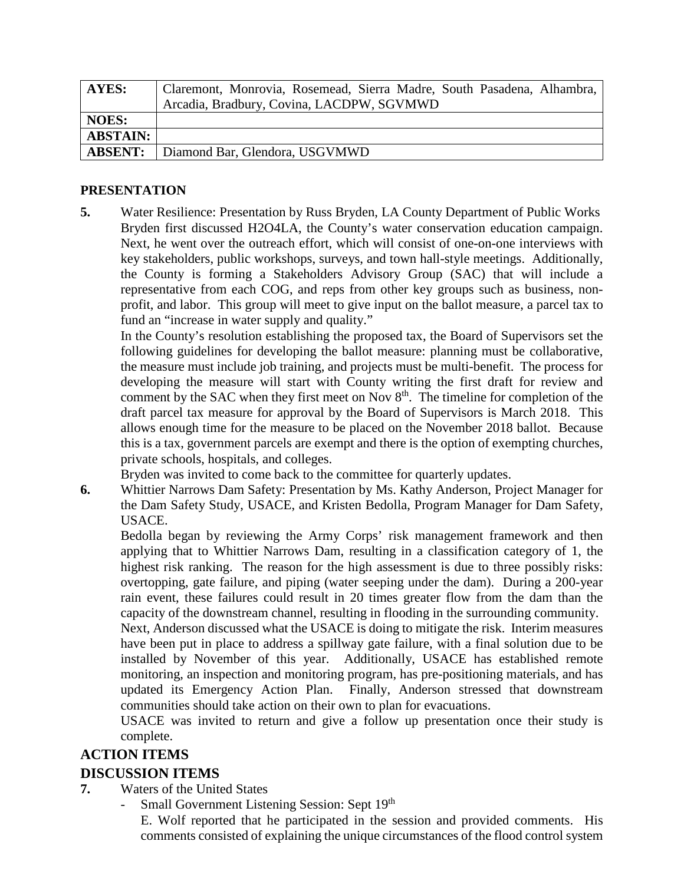| <b>AYES:</b>    | Claremont, Monrovia, Rosemead, Sierra Madre, South Pasadena, Alhambra, |
|-----------------|------------------------------------------------------------------------|
|                 | Arcadia, Bradbury, Covina, LACDPW, SGVMWD                              |
| <b>NOES:</b>    |                                                                        |
| <b>ABSTAIN:</b> |                                                                        |
| <b>ABSENT:</b>  | Diamond Bar, Glendora, USGVMWD                                         |

### **PRESENTATION**

**5.** Water Resilience: Presentation by Russ Bryden, LA County Department of Public Works Bryden first discussed H2O4LA, the County's water conservation education campaign. Next, he went over the outreach effort, which will consist of one-on-one interviews with key stakeholders, public workshops, surveys, and town hall-style meetings. Additionally, the County is forming a Stakeholders Advisory Group (SAC) that will include a representative from each COG, and reps from other key groups such as business, nonprofit, and labor. This group will meet to give input on the ballot measure, a parcel tax to fund an "increase in water supply and quality."

In the County's resolution establishing the proposed tax, the Board of Supervisors set the following guidelines for developing the ballot measure: planning must be collaborative, the measure must include job training, and projects must be multi-benefit. The process for developing the measure will start with County writing the first draft for review and comment by the SAC when they first meet on Nov 8<sup>th</sup>. The timeline for completion of the draft parcel tax measure for approval by the Board of Supervisors is March 2018. This allows enough time for the measure to be placed on the November 2018 ballot. Because this is a tax, government parcels are exempt and there is the option of exempting churches, private schools, hospitals, and colleges.

Bryden was invited to come back to the committee for quarterly updates.

**6.** Whittier Narrows Dam Safety: Presentation by Ms. Kathy Anderson, Project Manager for the Dam Safety Study, USACE, and Kristen Bedolla, Program Manager for Dam Safety, USACE.

Bedolla began by reviewing the Army Corps' risk management framework and then applying that to Whittier Narrows Dam, resulting in a classification category of 1, the highest risk ranking. The reason for the high assessment is due to three possibly risks: overtopping, gate failure, and piping (water seeping under the dam). During a 200-year rain event, these failures could result in 20 times greater flow from the dam than the capacity of the downstream channel, resulting in flooding in the surrounding community.

Next, Anderson discussed what the USACE is doing to mitigate the risk. Interim measures have been put in place to address a spillway gate failure, with a final solution due to be installed by November of this year. Additionally, USACE has established remote monitoring, an inspection and monitoring program, has pre-positioning materials, and has updated its Emergency Action Plan. Finally, Anderson stressed that downstream communities should take action on their own to plan for evacuations.

USACE was invited to return and give a follow up presentation once their study is complete.

# **ACTION ITEMS**

# **DISCUSSION ITEMS**

- **7.** Waters of the United States
	- Small Government Listening Session: Sept 19th

E. Wolf reported that he participated in the session and provided comments. His comments consisted of explaining the unique circumstances of the flood control system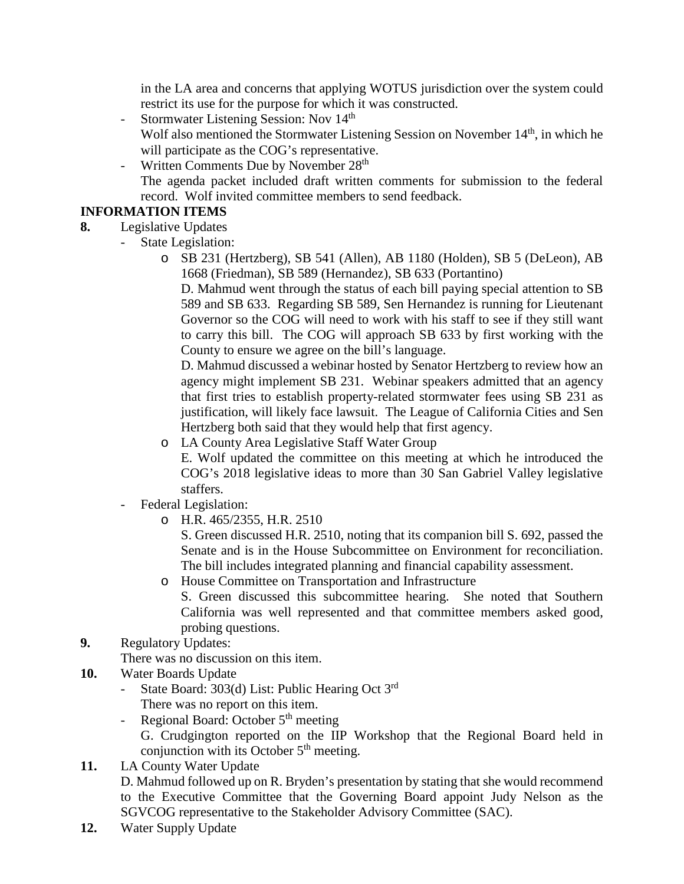in the LA area and concerns that applying WOTUS jurisdiction over the system could restrict its use for the purpose for which it was constructed.

- Stormwater Listening Session: Nov 14<sup>th</sup> Wolf also mentioned the Stormwater Listening Session on November 14<sup>th</sup>, in which he will participate as the COG's representative.
- Written Comments Due by November 28<sup>th</sup> The agenda packet included draft written comments for submission to the federal record. Wolf invited committee members to send feedback.

# **INFORMATION ITEMS**

- **8.** Legislative Updates
	- State Legislation:
		- o SB 231 (Hertzberg), SB 541 (Allen), AB 1180 (Holden), SB 5 (DeLeon), AB 1668 (Friedman), SB 589 (Hernandez), SB 633 (Portantino)

D. Mahmud went through the status of each bill paying special attention to SB 589 and SB 633. Regarding SB 589, Sen Hernandez is running for Lieutenant Governor so the COG will need to work with his staff to see if they still want to carry this bill. The COG will approach SB 633 by first working with the County to ensure we agree on the bill's language.

D. Mahmud discussed a webinar hosted by Senator Hertzberg to review how an agency might implement SB 231. Webinar speakers admitted that an agency that first tries to establish property-related stormwater fees using SB 231 as justification, will likely face lawsuit. The League of California Cities and Sen Hertzberg both said that they would help that first agency.

- o LA County Area Legislative Staff Water Group E. Wolf updated the committee on this meeting at which he introduced the COG's 2018 legislative ideas to more than 30 San Gabriel Valley legislative staffers.
- Federal Legislation:
	- o H.R. 465/2355, H.R. 2510

S. Green discussed H.R. 2510, noting that its companion bill S. 692, passed the Senate and is in the House Subcommittee on Environment for reconciliation. The bill includes integrated planning and financial capability assessment.

o House Committee on Transportation and Infrastructure

S. Green discussed this subcommittee hearing. She noted that Southern California was well represented and that committee members asked good, probing questions.

# **9.** Regulatory Updates:

There was no discussion on this item.

- **10.** Water Boards Update
	- State Board: 303(d) List: Public Hearing Oct 3<sup>rd</sup>
	- There was no report on this item.
	- Regional Board: October  $5<sup>th</sup>$  meeting G. Crudgington reported on the IIP Workshop that the Regional Board held in conjunction with its October  $5<sup>th</sup>$  meeting.
- **11.** LA County Water Update D. Mahmud followed up on R. Bryden's presentation by stating that she would recommend to the Executive Committee that the Governing Board appoint Judy Nelson as the SGVCOG representative to the Stakeholder Advisory Committee (SAC).
- **12.** Water Supply Update